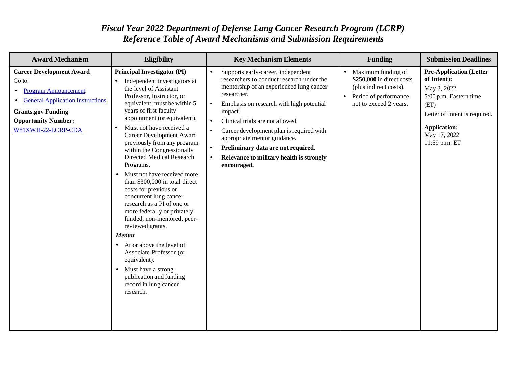## *Fiscal Year 2022 Department of Defense Lung Cancer Research Program (LCRP) Reference Table of Award Mechanisms and Submission Requirements*

| <b>Award Mechanism</b>                                                                                                                                                                                                         | <b>Eligibility</b>                                                                                                                                                                                                                                                                                                                                                                                                                                                                                                                                                                                                                                                                                                                                                                                                                                                     | <b>Key Mechanism Elements</b>                                                                                                                                                                                                                                                                                                                                                                                                   | <b>Funding</b>                                                                                                                            | <b>Submission Deadlines</b>                                                                                                                                                             |
|--------------------------------------------------------------------------------------------------------------------------------------------------------------------------------------------------------------------------------|------------------------------------------------------------------------------------------------------------------------------------------------------------------------------------------------------------------------------------------------------------------------------------------------------------------------------------------------------------------------------------------------------------------------------------------------------------------------------------------------------------------------------------------------------------------------------------------------------------------------------------------------------------------------------------------------------------------------------------------------------------------------------------------------------------------------------------------------------------------------|---------------------------------------------------------------------------------------------------------------------------------------------------------------------------------------------------------------------------------------------------------------------------------------------------------------------------------------------------------------------------------------------------------------------------------|-------------------------------------------------------------------------------------------------------------------------------------------|-----------------------------------------------------------------------------------------------------------------------------------------------------------------------------------------|
| <b>Career Development Award</b><br>Go to:<br><b>Program Announcement</b><br>$\bullet$<br><b>General Application Instructions</b><br>$\bullet$<br><b>Grants.gov Funding</b><br><b>Opportunity Number:</b><br>W81XWH-22-LCRP-CDA | <b>Principal Investigator (PI)</b><br>Independent investigators at<br>$\bullet$<br>the level of Assistant<br>Professor, Instructor, or<br>equivalent; must be within 5<br>years of first faculty<br>appointment (or equivalent).<br>Must not have received a<br>$\bullet$<br>Career Development Award<br>previously from any program<br>within the Congressionally<br>Directed Medical Research<br>Programs.<br>Must not have received more<br>$\bullet$<br>than \$300,000 in total direct<br>costs for previous or<br>concurrent lung cancer<br>research as a PI of one or<br>more federally or privately<br>funded, non-mentored, peer-<br>reviewed grants.<br><b>Mentor</b><br>At or above the level of<br>$\bullet$<br>Associate Professor (or<br>equivalent).<br>Must have a strong<br>$\bullet$<br>publication and funding<br>record in lung cancer<br>research. | Supports early-career, independent<br>researchers to conduct research under the<br>mentorship of an experienced lung cancer<br>researcher.<br>Emphasis on research with high potential<br>impact.<br>$\bullet$<br>Clinical trials are not allowed.<br>Career development plan is required with<br>appropriate mentor guidance.<br>Preliminary data are not required.<br>Relevance to military health is strongly<br>encouraged. | Maximum funding of<br>$\bullet$<br>\$250,000 in direct costs<br>(plus indirect costs).<br>Period of performance<br>not to exceed 2 years. | <b>Pre-Application (Letter</b><br>of Intent):<br>May 3, 2022<br>5:00 p.m. Eastern time<br>(ET)<br>Letter of Intent is required.<br><b>Application:</b><br>May 17, 2022<br>11:59 p.m. ET |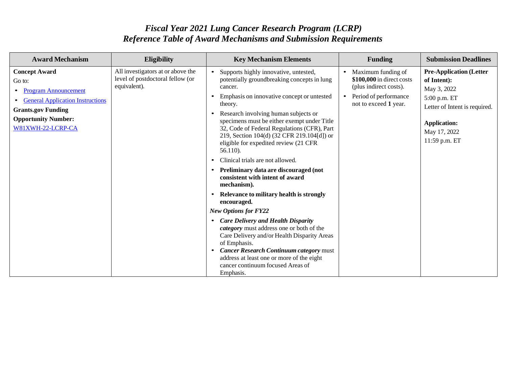## *Fiscal Year 2021 Lung Cancer Research Program (LCRP) Reference Table of Award Mechanisms and Submission Requirements*

| <b>Award Mechanism</b>                                                                                                                                                                   | <b>Eligibility</b>                                                                    | <b>Key Mechanism Elements</b>                                                                                                                                                                                                                                                                                                                                                                                                                                                                                                                                                                                                                                                                                                                                                                                                                                                                                                               | <b>Funding</b>                                                                                                                           | <b>Submission Deadlines</b>                                                                                                                                           |
|------------------------------------------------------------------------------------------------------------------------------------------------------------------------------------------|---------------------------------------------------------------------------------------|---------------------------------------------------------------------------------------------------------------------------------------------------------------------------------------------------------------------------------------------------------------------------------------------------------------------------------------------------------------------------------------------------------------------------------------------------------------------------------------------------------------------------------------------------------------------------------------------------------------------------------------------------------------------------------------------------------------------------------------------------------------------------------------------------------------------------------------------------------------------------------------------------------------------------------------------|------------------------------------------------------------------------------------------------------------------------------------------|-----------------------------------------------------------------------------------------------------------------------------------------------------------------------|
| <b>Concept Award</b><br>Go to:<br><b>Program Announcement</b><br><b>General Application Instructions</b><br><b>Grants.gov Funding</b><br><b>Opportunity Number:</b><br>W81XWH-22-LCRP-CA | All investigators at or above the<br>level of postdoctoral fellow (or<br>equivalent). | Supports highly innovative, untested,<br>potentially groundbreaking concepts in lung<br>cancer.<br>Emphasis on innovative concept or untested<br>theory.<br>Research involving human subjects or<br>specimens must be either exempt under Title<br>32, Code of Federal Regulations (CFR), Part<br>219, Section 104(d) (32 CFR 219.104[d]) or<br>eligible for expedited review (21 CFR<br>56.110).<br>Clinical trials are not allowed.<br>Preliminary data are discouraged (not<br>$\bullet$<br>consistent with intent of award<br>mechanism).<br>Relevance to military health is strongly<br>encouraged.<br><b>New Options for FY22</b><br>• Care Delivery and Health Disparity<br>category must address one or both of the<br>Care Delivery and/or Health Disparity Areas<br>of Emphasis.<br><b>Cancer Research Continuum category must</b><br>address at least one or more of the eight<br>cancer continuum focused Areas of<br>Emphasis. | Maximum funding of<br>$\bullet$<br>\$100,000 in direct costs<br>(plus indirect costs).<br>Period of performance<br>not to exceed 1 year. | <b>Pre-Application (Letter</b><br>of Intent):<br>May 3, 2022<br>5:00 p.m. ET<br>Letter of Intent is required.<br><b>Application:</b><br>May 17, 2022<br>11:59 p.m. ET |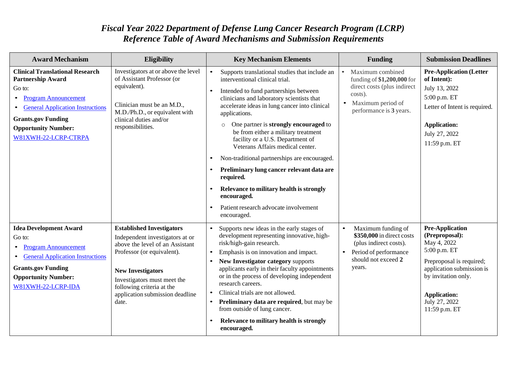## *Fiscal Year 2022 Department of Defense Lung Cancer Research Program (LCRP) Reference Table of Award Mechanisms and Submission Requirements*

| <b>Award Mechanism</b>                                                                                                                                                                                                                    | Eligibility                                                                                                                                                                                                                                                              | <b>Key Mechanism Elements</b>                                                                                                                                                                                                                                                                                                                                                                                                                                                                                                                                                                                                            |           | <b>Funding</b>                                                                                                                           | <b>Submission Deadlines</b>                                                                                                                                                                                      |
|-------------------------------------------------------------------------------------------------------------------------------------------------------------------------------------------------------------------------------------------|--------------------------------------------------------------------------------------------------------------------------------------------------------------------------------------------------------------------------------------------------------------------------|------------------------------------------------------------------------------------------------------------------------------------------------------------------------------------------------------------------------------------------------------------------------------------------------------------------------------------------------------------------------------------------------------------------------------------------------------------------------------------------------------------------------------------------------------------------------------------------------------------------------------------------|-----------|------------------------------------------------------------------------------------------------------------------------------------------|------------------------------------------------------------------------------------------------------------------------------------------------------------------------------------------------------------------|
| <b>Clinical Translational Research</b><br><b>Partnership Award</b><br>Go to:<br><b>Program Announcement</b><br><b>General Application Instructions</b><br><b>Grants.gov Funding</b><br><b>Opportunity Number:</b><br>W81XWH-22-LCRP-CTRPA | Investigators at or above the level<br>of Assistant Professor (or<br>equivalent).<br>Clinician must be an M.D.,<br>M.D./Ph.D., or equivalent with<br>clinical duties and/or<br>responsibilities.                                                                         | Supports translational studies that include an<br>interventional clinical trial.<br>Intended to fund partnerships between<br>clinicians and laboratory scientists that<br>accelerate ideas in lung cancer into clinical<br>applications.<br>One partner is strongly encouraged to<br>$\circ$<br>be from either a military treatment<br>facility or a U.S. Department of<br>Veterans Affairs medical center.<br>Non-traditional partnerships are encouraged.<br>Preliminary lung cancer relevant data are<br>required.<br>Relevance to military health is strongly<br>encouraged.<br>Patient research advocate involvement<br>encouraged. |           | Maximum combined<br>funding of \$1,200,000 for<br>direct costs (plus indirect<br>costs).<br>Maximum period of<br>performance is 3 years. | <b>Pre-Application (Letter</b><br>of Intent):<br>July 13, 2022<br>5:00 p.m. ET<br>Letter of Intent is required.<br><b>Application:</b><br>July 27, 2022<br>11:59 p.m. ET                                         |
| <b>Idea Development Award</b><br>Go to:<br><b>Program Announcement</b><br><b>General Application Instructions</b><br><b>Grants.gov Funding</b><br><b>Opportunity Number:</b><br>W81XWH-22-LCRP-IDA                                        | <b>Established Investigators</b><br>Independent investigators at or<br>above the level of an Assistant<br>Professor (or equivalent).<br><b>New Investigators</b><br>Investigators must meet the<br>following criteria at the<br>application submission deadline<br>date. | Supports new ideas in the early stages of<br>development representing innovative, high-<br>risk/high-gain research.<br>Emphasis is on innovation and impact.<br>New Investigator category supports<br>applicants early in their faculty appointments<br>or in the process of developing independent<br>research careers.<br>Clinical trials are not allowed.<br>Preliminary data are required, but may be<br>from outside of lung cancer.<br>Relevance to military health is strongly<br>encouraged.                                                                                                                                     | $\bullet$ | Maximum funding of<br>\$350,000 in direct costs<br>(plus indirect costs).<br>Period of performance<br>should not exceed 2<br>years.      | <b>Pre-Application</b><br>(Preproposal):<br>May 4, 2022<br>5:00 p.m. ET<br>Preproposal is required;<br>application submission is<br>by invitation only.<br><b>Application:</b><br>July 27, 2022<br>11:59 p.m. ET |